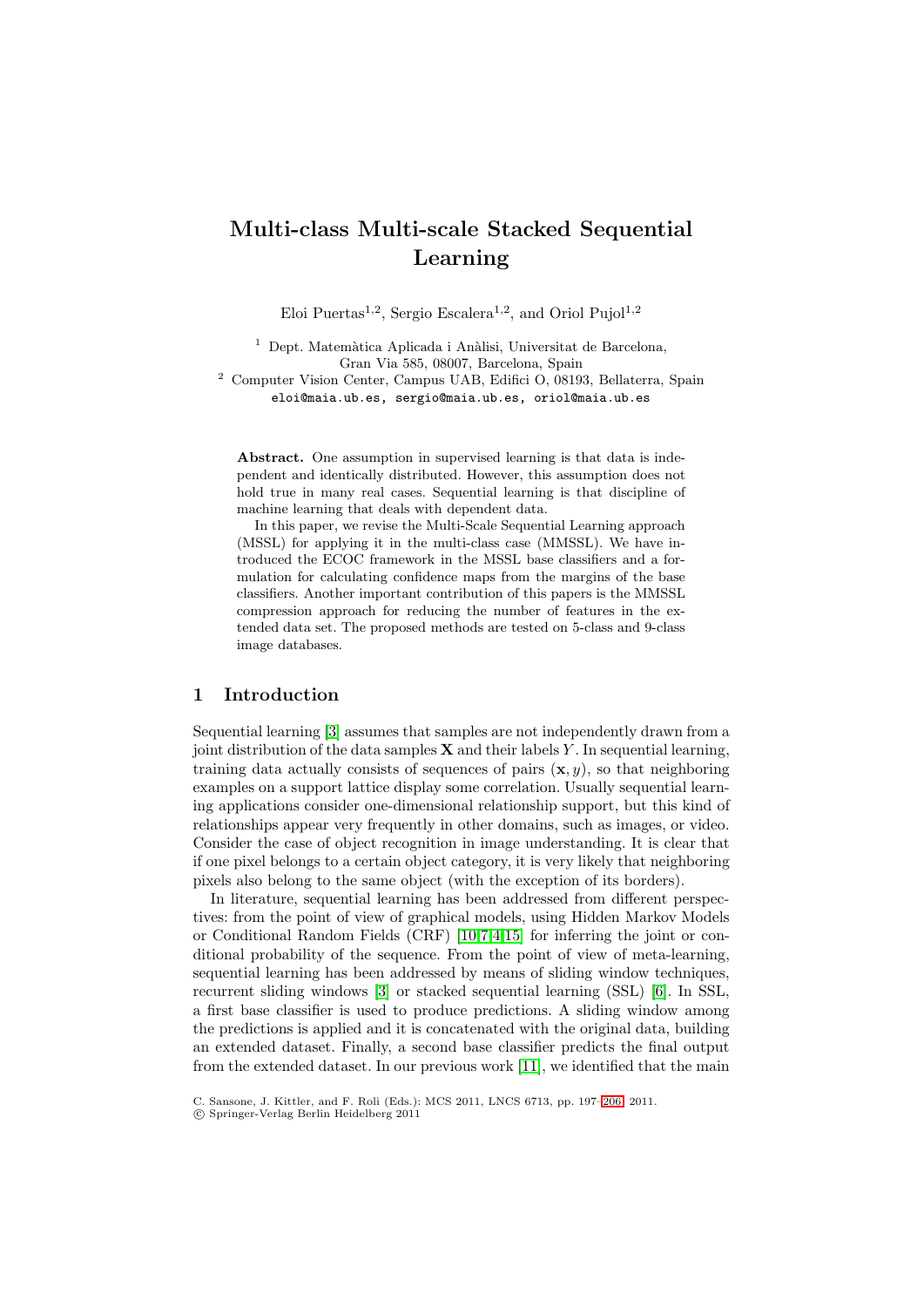# **Multi-class Multi-scale Stacked Sequential Learning**

Eloi Puertas<sup>1,2</sup>, Sergio Escalera<sup>1,2</sup>, and Oriol Pujol<sup>1,2</sup>

 $<sup>1</sup>$  Dept. Matemàtica Aplicada i Anàlisi, Universitat de Barcelona,</sup> Gran Via 585, 08007, Barcelona, Spain

<sup>2</sup> Computer Vision Center, Campus UAB, Edifici O, 08193, Bellaterra, Spain eloi@maia.ub.es, sergio@maia.ub.es, oriol@maia.ub.es

**Abstract.** One assumption in supervised learning is that data is independent and identically distributed. However, this assumption does not hold true in many real cases. Sequential learning is that discipline of machine learning that deals with dependent data.

In this paper, we revise the Multi-Scale Sequential Learning approach (MSSL) for applying it in the multi-class case (MMSSL). We have introduced the ECOC framework in the MSSL base classifiers and a formulation for calculating confidence maps from the margins of the base classifiers. Another important contribution of this papers is the MMSSL compression approach for reducing the number of features in the extended data set. The proposed methods are tested on 5-class and 9-class image databases.

## **1 Introduction**

Sequential learning [\[3\]](#page-9-0) assumes that samples are not independently drawn from a joint distribution of the data samples  $X$  and their labels  $Y$ . In sequential learning, training data actually consists of sequences of pairs  $(\mathbf{x}, y)$ , so that neighboring examples on a support lattice display some correlation. Usually sequential learning applications consider one-dimensional relationship support, but this kind of relationships appear very frequently in other domains, such as images, or video. Consider the case of object recognition in image understanding. It is clear that if one pixel belongs to a certain object category, it is very likely that neighboring pixels also belong to the same object (with the exception of its borders).

In literature, sequential learning has been addressed from different perspectives: from the point of view of graphical models, using Hidden Markov Models or Conditional Random Fields (CRF) [\[10,](#page-9-1)[7,](#page-9-2)[4](#page-9-3)[,15\]](#page-9-4) for inferring the joint or conditional probability of the sequence. From the point of view of meta-learning, sequential learning has been addressed by means of sliding window techniques, recurrent sliding windows [\[3\]](#page-9-0) or stacked sequential learning (SSL) [\[6\]](#page-9-5). In SSL, a first base classifier is used to produce predictions. A sliding window among the predictions is applied and it is concatenated with the original data, building an extended dataset. Finally, a second base classifier predicts the final output from the extended dataset. In our previous work [\[11\]](#page-9-6), we identified that the main

C. Sansone, J. Kittler, and F. Roli (Eds.): MCS 2011, LNCS 6713, pp. 197[–206,](#page-9-7) 2011.

<sup>-</sup>c Springer-Verlag Berlin Heidelberg 2011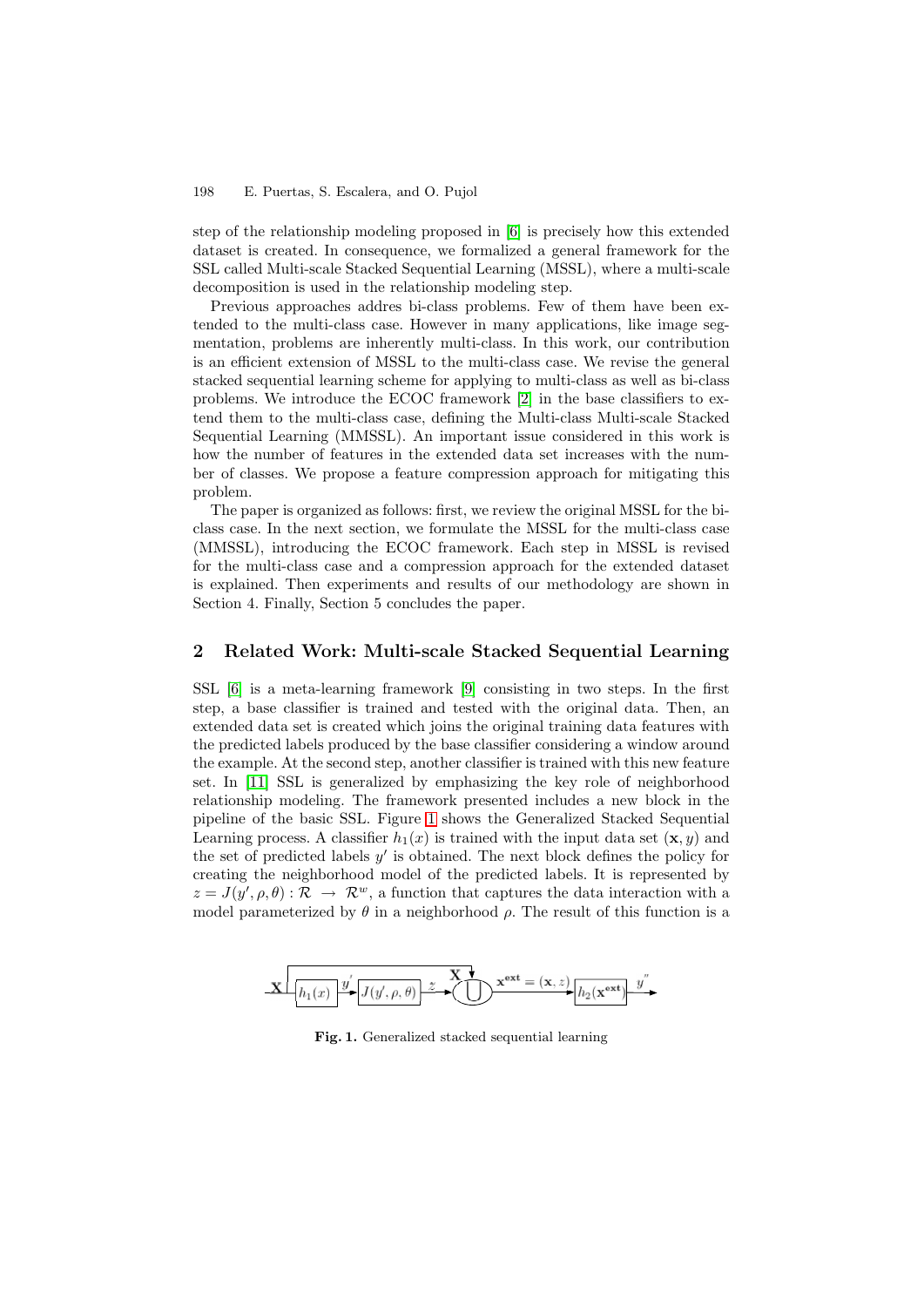step of the relationship modeling proposed in [\[6\]](#page-9-5) is precisely how this extended dataset is created. In consequence, we formalized a general framework for the SSL called Multi-scale Stacked Sequential Learning (MSSL), where a multi-scale decomposition is used in the relationship modeling step.

Previous approaches addres bi-class problems. Few of them have been extended to the multi-class case. However in many applications, like image segmentation, problems are inherently multi-class. In this work, our contribution is an efficient extension of MSSL to the multi-class case. We revise the general stacked sequential learning scheme for applying to multi-class as well as bi-class problems. We introduce the ECOC framework [\[2\]](#page-9-8) in the base classifiers to extend them to the multi-class case, defining the Multi-class Multi-scale Stacked Sequential Learning (MMSSL). An important issue considered in this work is how the number of features in the extended data set increases with the number of classes. We propose a feature compression approach for mitigating this problem.

The paper is organized as follows: first, we review the original MSSL for the biclass case. In the next section, we formulate the MSSL for the multi-class case (MMSSL), introducing the ECOC framework. Each step in MSSL is revised for the multi-class case and a compression approach for the extended dataset is explained. Then experiments and results of our methodology are shown in Section 4. Finally, Section 5 concludes the paper.

## **2 Related Work: Multi-scale Stacked Sequential Learning**

SSL [\[6\]](#page-9-5) is a meta-learning framework [\[9\]](#page-9-9) consisting in two steps. In the first step, a base classifier is trained and tested with the original data. Then, an extended data set is created which joins the original training data features with the predicted labels produced by the base classifier considering a window around the example. At the second step, another classifier is trained with this new feature set. In [\[11\]](#page-9-6) SSL is generalized by emphasizing the key role of neighborhood relationship modeling. The framework presented includes a new block in the pipeline of the basic SSL. Figure [1](#page-1-0) shows the Generalized Stacked Sequential Learning process. A classifier  $h_1(x)$  is trained with the input data set  $(\mathbf{x}, y)$  and the set of predicted labels  $y'$  is obtained. The next block defines the policy for creating the neighborhood model of the predicted labels. It is represented by  $z = J(y', \rho, \theta) : \mathcal{R} \to \mathcal{R}^w$ , a function that captures the data interaction with a model parameterized by  $\theta$  in a neighborhood  $\rho$ . The result of this function is a



<span id="page-1-0"></span>**Fig. 1.** Generalized stacked sequential learning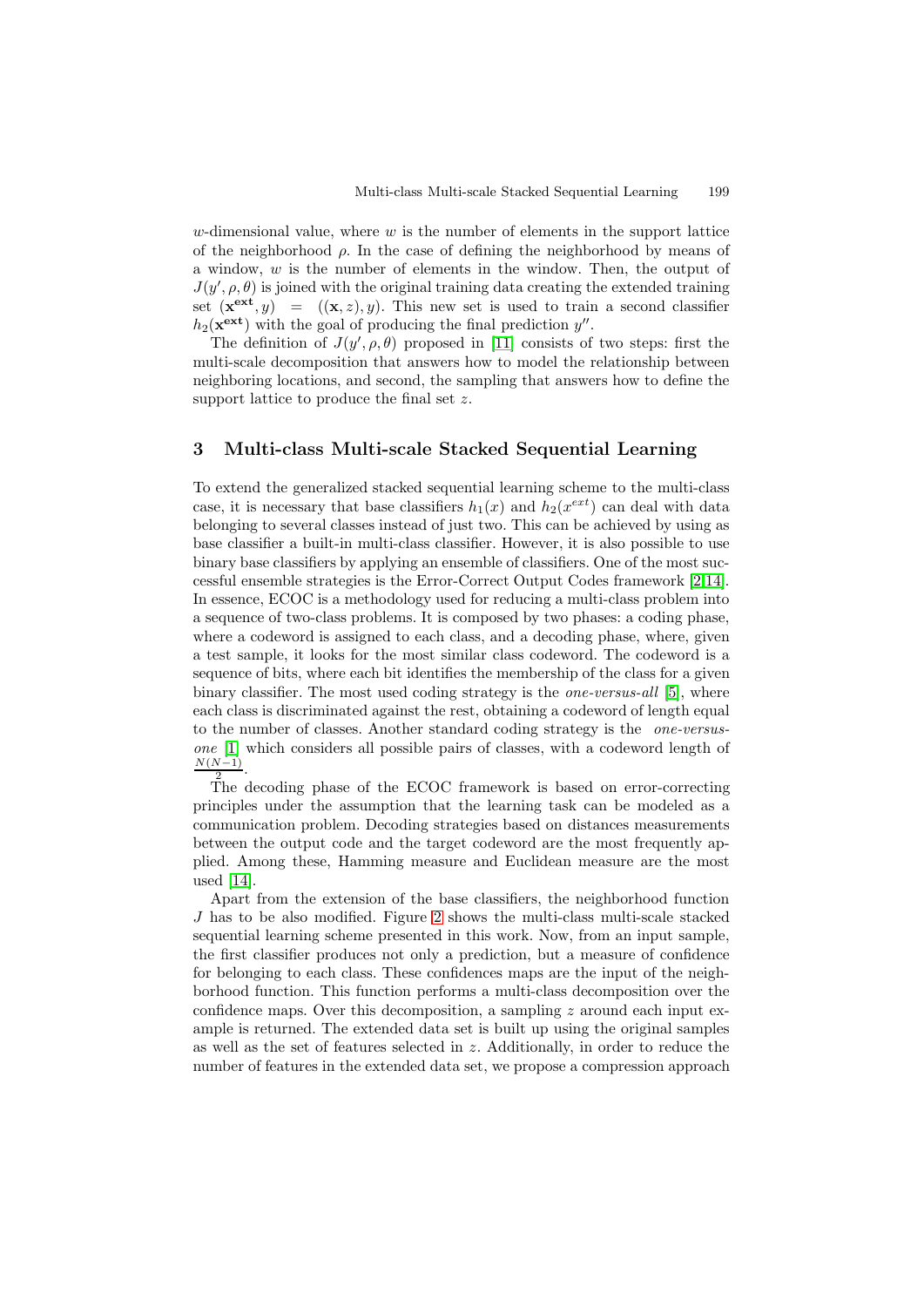w-dimensional value, where  $w$  is the number of elements in the support lattice of the neighborhood  $\rho$ . In the case of defining the neighborhood by means of a window,  $w$  is the number of elements in the window. Then, the output of  $J(y', \rho, \theta)$  is joined with the original training data creating the extended training set  $(\mathbf{x}^{\text{ext}}, y) = ((\mathbf{x}, z), y)$ . This new set is used to train a second classifier  $h_2(\mathbf{x}^{\text{ext}})$  with the goal of producing the final prediction  $y''$ .

The definition of  $J(y', \rho, \theta)$  proposed in [\[11\]](#page-9-6) consists of two steps: first the multi-scale decomposition that answers how to model the relationship between neighboring locations, and second, the sampling that answers how to define the support lattice to produce the final set z.

# **3 Multi-class Multi-scale Stacked Sequential Learning**

To extend the generalized stacked sequential learning scheme to the multi-class case, it is necessary that base classifiers  $h_1(x)$  and  $h_2(x^{ext})$  can deal with data belonging to several classes instead of just two. This can be achieved by using as base classifier a built-in multi-class classifier. However, it is also possible to use binary base classifiers by applying an ensemble of classifiers. One of the most successful ensemble strategies is the Error-Correct Output Codes framework [\[2,](#page-9-8)[14\]](#page-9-10). In essence, ECOC is a methodology used for reducing a multi-class problem into a sequence of two-class problems. It is composed by two phases: a coding phase, where a codeword is assigned to each class, and a decoding phase, where, given a test sample, it looks for the most similar class codeword. The codeword is a sequence of bits, where each bit identifies the membership of the class for a given binary classifier. The most used coding strategy is the *one-versus-all* [\[5\]](#page-9-11), where each class is discriminated against the rest, obtaining a codeword of length equal to the number of classes. Another standard coding strategy is the *one-versusone* [\[1\]](#page-9-12) which considers all possible pairs of classes, with a codeword length of  $\frac{N(N-1)}{2}$ .

The decoding phase of the ECOC framework is based on error-correcting principles under the assumption that the learning task can be modeled as a communication problem. Decoding strategies based on distances measurements between the output code and the target codeword are the most frequently applied. Among these, Hamming measure and Euclidean measure are the most used [\[14\]](#page-9-10).

Apart from the extension of the base classifiers, the neighborhood function J has to be also modified. Figure [2](#page-3-0) shows the multi-class multi-scale stacked sequential learning scheme presented in this work. Now, from an input sample, the first classifier produces not only a prediction, but a measure of confidence for belonging to each class. These confidences maps are the input of the neighborhood function. This function performs a multi-class decomposition over the confidence maps. Over this decomposition, a sampling  $z$  around each input example is returned. The extended data set is built up using the original samples as well as the set of features selected in z. Additionally, in order to reduce the number of features in the extended data set, we propose a compression approach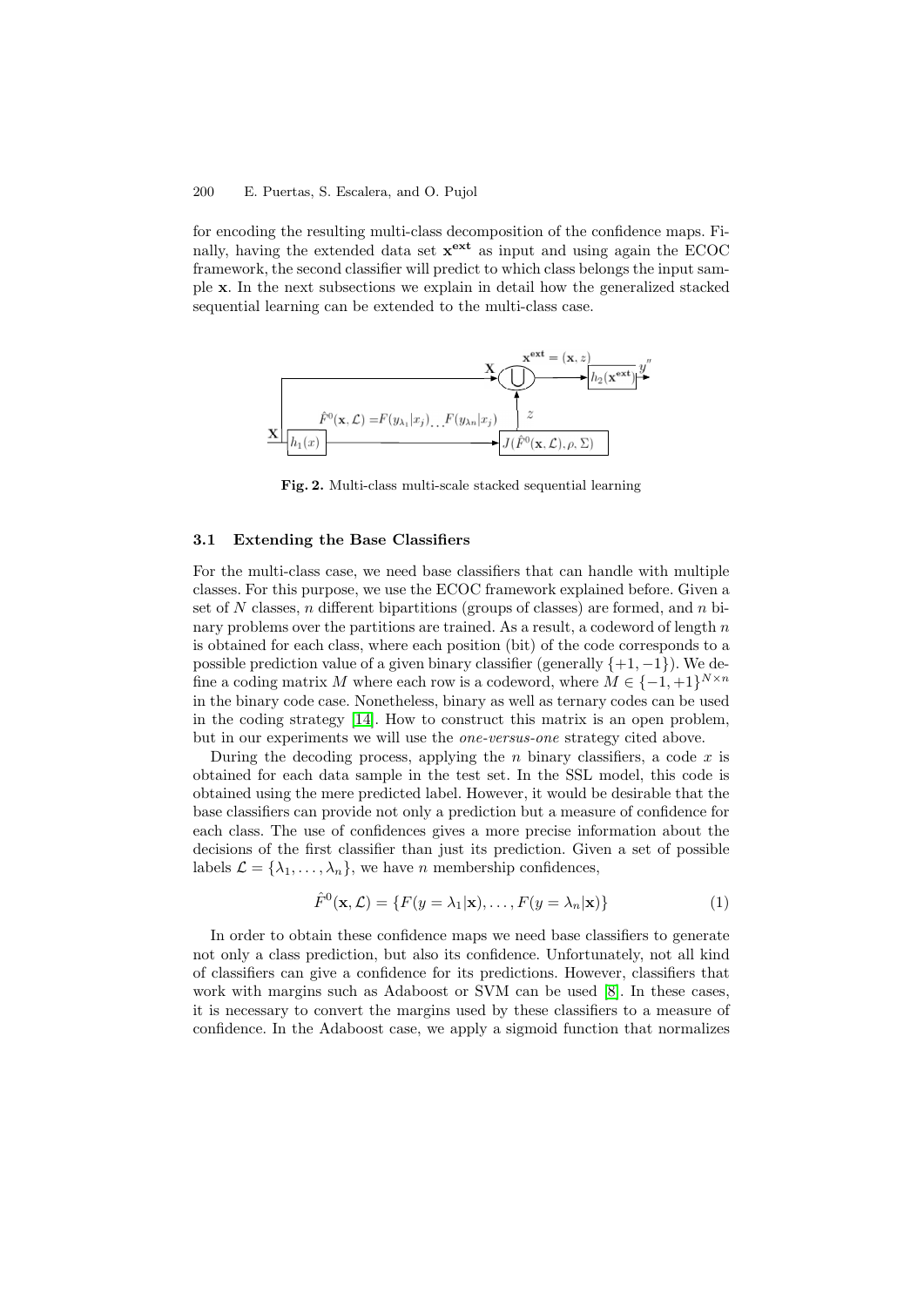for encoding the resulting multi-class decomposition of the confidence maps. Finally, having the extended data set **xext** as input and using again the ECOC framework, the second classifier will predict to which class belongs the input sample **x**. In the next subsections we explain in detail how the generalized stacked sequential learning can be extended to the multi-class case.



<span id="page-3-0"></span>**Fig. 2.** Multi-class multi-scale stacked sequential learning

#### **3.1 Extending the Base Classifiers**

For the multi-class case, we need base classifiers that can handle with multiple classes. For this purpose, we use the ECOC framework explained before. Given a set of N classes, n different bipartitions (groups of classes) are formed, and n binary problems over the partitions are trained. As a result, a codeword of length n is obtained for each class, where each position (bit) of the code corresponds to a possible prediction value of a given binary classifier (generally  $\{+1, -1\}$ ). We define a coding matrix M where each row is a codeword, where  $M \in \{-1, +1\}^{N \times n}$ in the binary code case. Nonetheless, binary as well as ternary codes can be used in the coding strategy [\[14\]](#page-9-10). How to construct this matrix is an open problem, but in our experiments we will use the *one-versus-one* strategy cited above.

During the decoding process, applying the n binary classifiers, a code  $x$  is obtained for each data sample in the test set. In the SSL model, this code is obtained using the mere predicted label. However, it would be desirable that the base classifiers can provide not only a prediction but a measure of confidence for each class. The use of confidences gives a more precise information about the decisions of the first classifier than just its prediction. Given a set of possible labels  $\mathcal{L} = {\lambda_1, \ldots, \lambda_n}$ , we have *n* membership confidences,

<span id="page-3-1"></span>
$$
\hat{F}^0(\mathbf{x}, \mathcal{L}) = \{ F(y = \lambda_1 | \mathbf{x}), \dots, F(y = \lambda_n | \mathbf{x}) \}
$$
(1)

In order to obtain these confidence maps we need base classifiers to generate not only a class prediction, but also its confidence. Unfortunately, not all kind of classifiers can give a confidence for its predictions. However, classifiers that work with margins such as Adaboost or SVM can be used [\[8\]](#page-9-13). In these cases, it is necessary to convert the margins used by these classifiers to a measure of confidence. In the Adaboost case, we apply a sigmoid function that normalizes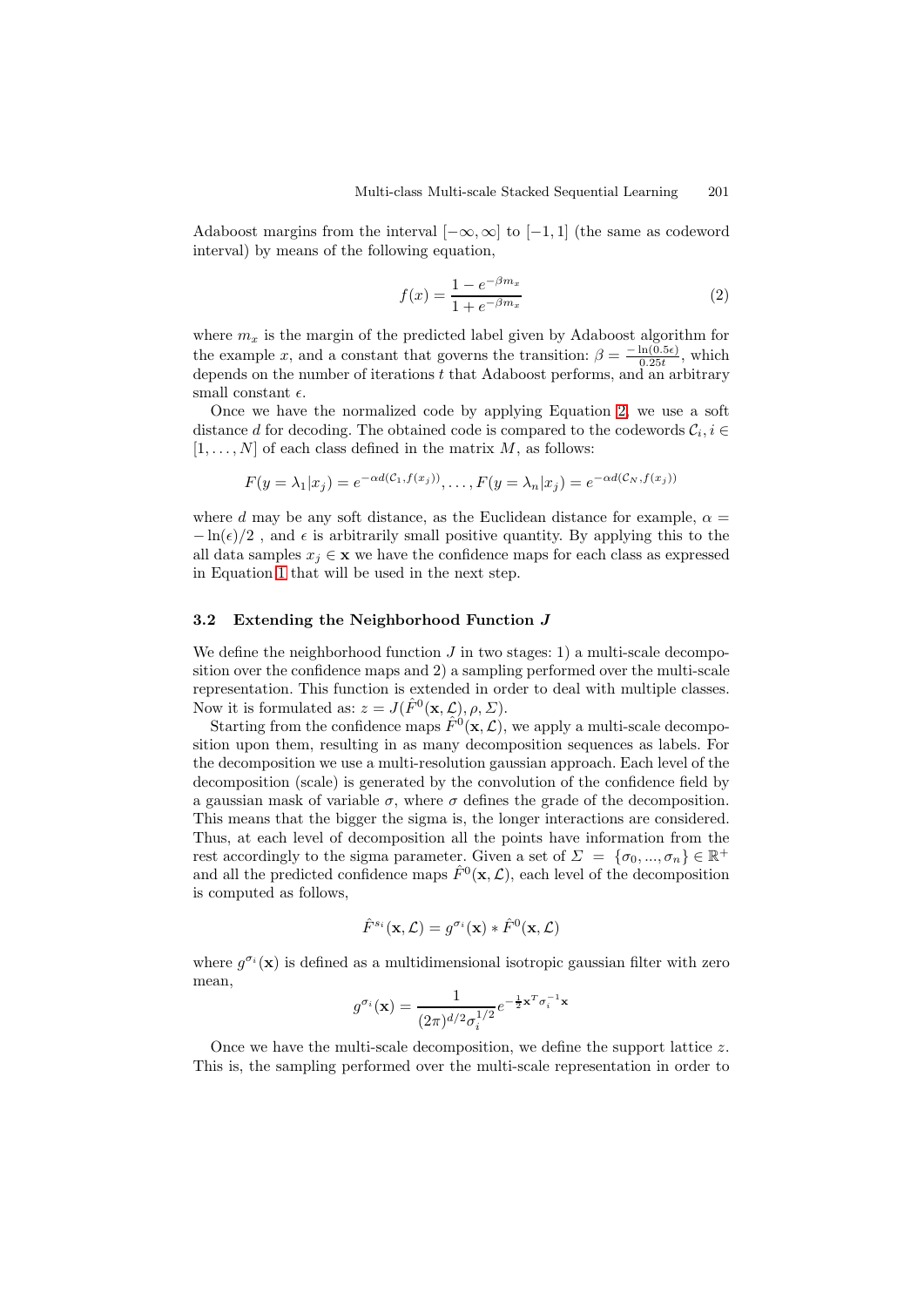Adaboost margins from the interval  $[-\infty, \infty]$  to  $[-1, 1]$  (the same as codeword interval) by means of the following equation,

<span id="page-4-0"></span>
$$
f(x) = \frac{1 - e^{-\beta m_x}}{1 + e^{-\beta m_x}}
$$
 (2)

where  $m_x$  is the margin of the predicted label given by Adaboost algorithm for the example x, and a constant that governs the transition:  $\beta = \frac{-\ln(0.5\epsilon)}{0.25t}$ , which depends on the number of iterations t that Adaboost performs, and an arbitrary small constant  $\epsilon$ .

Once we have the normalized code by applying Equation [2,](#page-4-0) we use a soft distance d for decoding. The obtained code is compared to the codewords  $C_i, i \in$  $[1,\ldots,N]$  of each class defined in the matrix M, as follows:

$$
F(y = \lambda_1 | x_j) = e^{-\alpha d(C_1, f(x_j))}, \dots, F(y = \lambda_n | x_j) = e^{-\alpha d(C_N, f(x_j))}
$$

where d may be any soft distance, as the Euclidean distance for example,  $\alpha =$  $-\ln(\epsilon)/2$ , and  $\epsilon$  is arbitrarily small positive quantity. By applying this to the all data samples  $x_i \in \mathbf{x}$  we have the confidence maps for each class as expressed in Equation [1](#page-3-1) that will be used in the next step.

## **3.2 Extending the Neighborhood Function** *J*

We define the neighborhood function  $J$  in two stages: 1) a multi-scale decomposition over the confidence maps and 2) a sampling performed over the multi-scale representation. This function is extended in order to deal with multiple classes. Now it is formulated as:  $z = J(\hat{F}^0(\mathbf{x}, \mathcal{L}), \rho, \Sigma)$ .

Starting from the confidence maps  $\hat{F}^0(\mathbf{x}, \mathcal{L})$ , we apply a multi-scale decomposition upon them, resulting in as many decomposition sequences as labels. For the decomposition we use a multi-resolution gaussian approach. Each level of the decomposition (scale) is generated by the convolution of the confidence field by a gaussian mask of variable  $\sigma$ , where  $\sigma$  defines the grade of the decomposition. This means that the bigger the sigma is, the longer interactions are considered. Thus, at each level of decomposition all the points have information from the rest accordingly to the sigma parameter. Given a set of  $\Sigma = {\sigma_0, ..., \sigma_n} \in \mathbb{R}^+$ and all the predicted confidence maps  $\hat{F}^0(\mathbf{x}, \mathcal{L})$ , each level of the decomposition is computed as follows,

$$
\hat{F}^{s_i}(\mathbf{x}, \mathcal{L}) = g^{\sigma_i}(\mathbf{x}) \ast \hat{F}^0(\mathbf{x}, \mathcal{L})
$$

where  $q^{\sigma_i}(\mathbf{x})$  is defined as a multidimensional isotropic gaussian filter with zero mean,

$$
g^{\sigma_i}(\mathbf{x}) = \frac{1}{(2\pi)^{d/2} \sigma_i^{1/2}} e^{-\frac{1}{2}\mathbf{x}^T \sigma_i^{-1} \mathbf{x}}
$$

Once we have the multi-scale decomposition, we define the support lattice z. This is, the sampling performed over the multi-scale representation in order to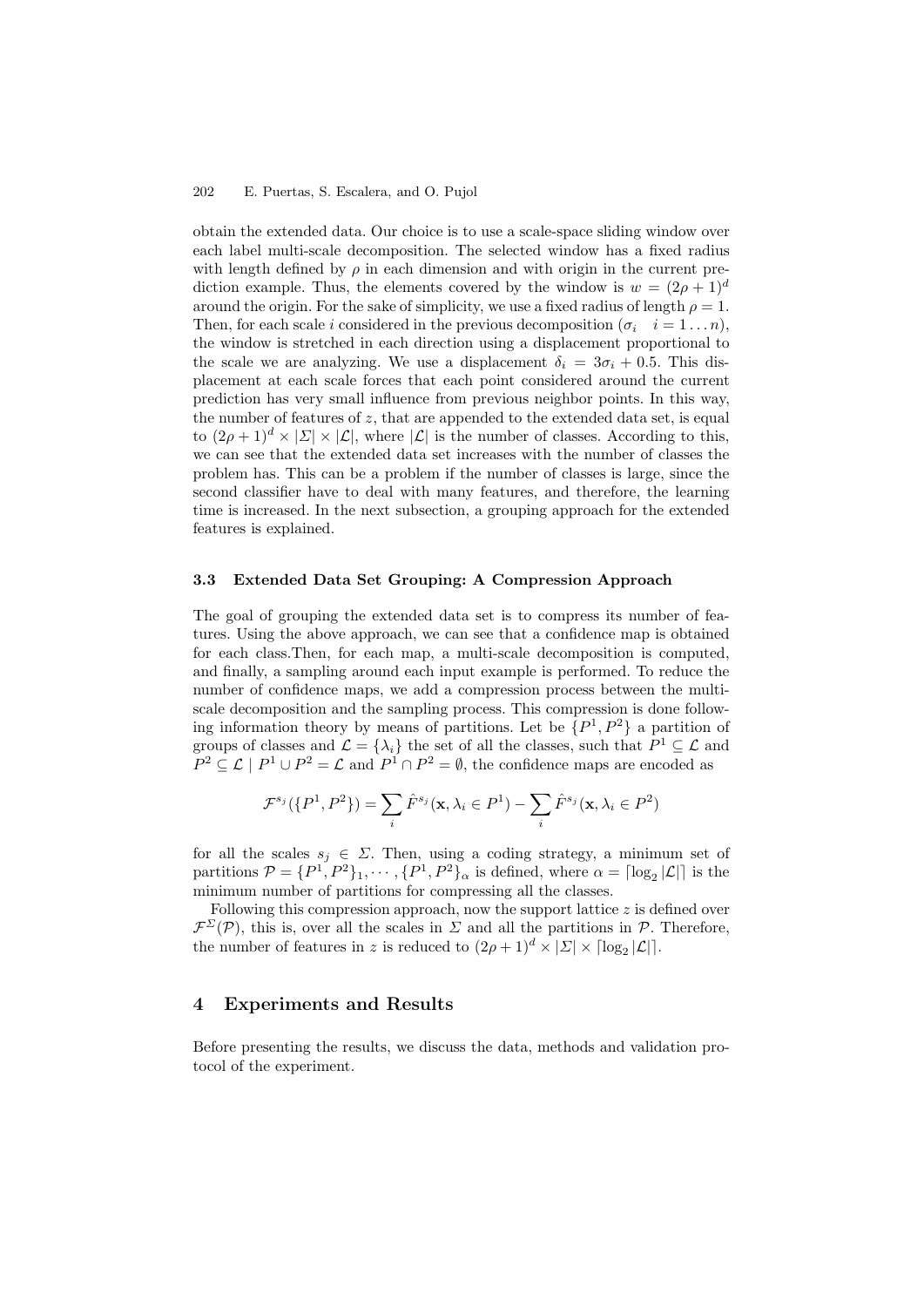obtain the extended data. Our choice is to use a scale-space sliding window over each label multi-scale decomposition. The selected window has a fixed radius with length defined by  $\rho$  in each dimension and with origin in the current prediction example. Thus, the elements covered by the window is  $w = (2\rho + 1)^d$ around the origin. For the sake of simplicity, we use a fixed radius of length  $\rho = 1$ . Then, for each scale i considered in the previous decomposition  $(\sigma_i \quad i = 1 \dots n)$ , the window is stretched in each direction using a displacement proportional to the scale we are analyzing. We use a displacement  $\delta_i = 3\sigma_i + 0.5$ . This displacement at each scale forces that each point considered around the current prediction has very small influence from previous neighbor points. In this way, the number of features of  $z$ , that are appended to the extended data set, is equal to  $(2\rho + 1)^d \times |\mathcal{L}| \times |\mathcal{L}|$ , where  $|\mathcal{L}|$  is the number of classes. According to this, we can see that the extended data set increases with the number of classes the problem has. This can be a problem if the number of classes is large, since the second classifier have to deal with many features, and therefore, the learning time is increased. In the next subsection, a grouping approach for the extended features is explained.

#### **3.3 Extended Data Set Grouping: A Compression Approach**

The goal of grouping the extended data set is to compress its number of features. Using the above approach, we can see that a confidence map is obtained for each class.Then, for each map, a multi-scale decomposition is computed, and finally, a sampling around each input example is performed. To reduce the number of confidence maps, we add a compression process between the multiscale decomposition and the sampling process. This compression is done following information theory by means of partitions. Let be  $\{P^1, P^2\}$  a partition of groups of classes and  $\mathcal{L} = {\lambda_i}$  the set of all the classes, such that  $P^1 \subseteq \mathcal{L}$  and  $P^2 \subseteq \mathcal{L} \mid P^1 \cup P^2 = \mathcal{L}$  and  $P^1 \cap P^2 = \emptyset$ , the confidence maps are encoded as

$$
\mathcal{F}^{s_j}(\{P^1,P^2\})=\sum_i \hat{F}^{s_j}(\mathbf{x},\lambda_i\in P^1)-\sum_i \hat{F}^{s_j}(\mathbf{x},\lambda_i\in P^2)
$$

for all the scales  $s_j \in \Sigma$ . Then, using a coding strategy, a minimum set of partitions  $\mathcal{P} = \{P^1, P^2\}_1, \cdots, \{P^1, P^2\}_\alpha$  is defined, where  $\alpha = \lceil \log_2 |\mathcal{L}| \rceil$  is the minimum number of partitions for compressing all the classes.

Following this compression approach, now the support lattice  $z$  is defined over  $\mathcal{F}^{\Sigma}(\mathcal{P})$ , this is, over all the scales in  $\Sigma$  and all the partitions in  $\mathcal{P}$ . Therefore, the number of features in z is reduced to  $(2\rho + 1)^d \times |\Sigma| \times \lceil \log_2 |\mathcal{L}| \rceil$ .

# **4 Experiments and Results**

Before presenting the results, we discuss the data, methods and validation protocol of the experiment.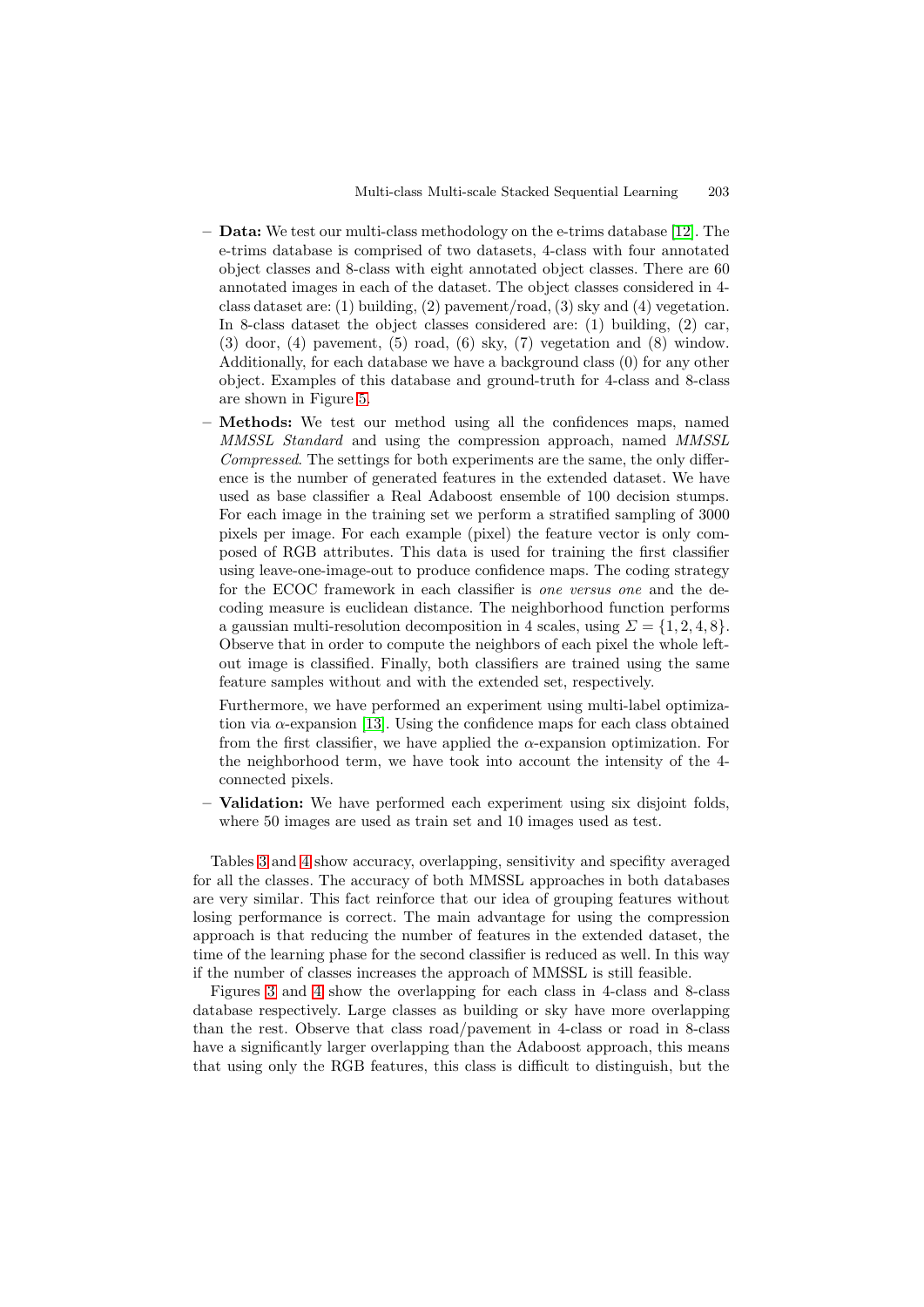- **Data:** We test our multi-class methodology on the e-trims database [\[12\]](#page-9-14). The e-trims database is comprised of two datasets, 4-class with four annotated object classes and 8-class with eight annotated object classes. There are 60 annotated images in each of the dataset. The object classes considered in 4 class dataset are: (1) building, (2) pavement/road, (3) sky and (4) vegetation. In 8-class dataset the object classes considered are: (1) building, (2) car,  $(3)$  door,  $(4)$  pavement,  $(5)$  road,  $(6)$  sky,  $(7)$  vegetation and  $(8)$  window. Additionally, for each database we have a background class (0) for any other object. Examples of this database and ground-truth for 4-class and 8-class are shown in Figure [5.](#page-8-0)
- **Methods:** We test our method using all the confidences maps, named *MMSSL Standard* and using the compression approach, named *MMSSL Compressed*. The settings for both experiments are the same, the only difference is the number of generated features in the extended dataset. We have used as base classifier a Real Adaboost ensemble of 100 decision stumps. For each image in the training set we perform a stratified sampling of 3000 pixels per image. For each example (pixel) the feature vector is only composed of RGB attributes. This data is used for training the first classifier using leave-one-image-out to produce confidence maps. The coding strategy for the ECOC framework in each classifier is *one versus one* and the decoding measure is euclidean distance. The neighborhood function performs a gaussian multi-resolution decomposition in 4 scales, using  $\Sigma = \{1, 2, 4, 8\}$ . Observe that in order to compute the neighbors of each pixel the whole leftout image is classified. Finally, both classifiers are trained using the same feature samples without and with the extended set, respectively.

Furthermore, we have performed an experiment using multi-label optimization via  $\alpha$ -expansion [\[13\]](#page-9-15). Using the confidence maps for each class obtained from the first classifier, we have applied the  $\alpha$ -expansion optimization. For the neighborhood term, we have took into account the intensity of the 4 connected pixels.

**– Validation:** We have performed each experiment using six disjoint folds, where 50 images are used as train set and 10 images used as test.

Tables [3](#page-7-0) and [4](#page-7-1) show accuracy, overlapping, sensitivity and specifity averaged for all the classes. The accuracy of both MMSSL approaches in both databases are very similar. This fact reinforce that our idea of grouping features without losing performance is correct. The main advantage for using the compression approach is that reducing the number of features in the extended dataset, the time of the learning phase for the second classifier is reduced as well. In this way if the number of classes increases the approach of MMSSL is still feasible.

Figures [3](#page-7-0) and [4](#page-7-1) show the overlapping for each class in 4-class and 8-class database respectively. Large classes as building or sky have more overlapping than the rest. Observe that class road/pavement in 4-class or road in 8-class have a significantly larger overlapping than the Adaboost approach, this means that using only the RGB features, this class is difficult to distinguish, but the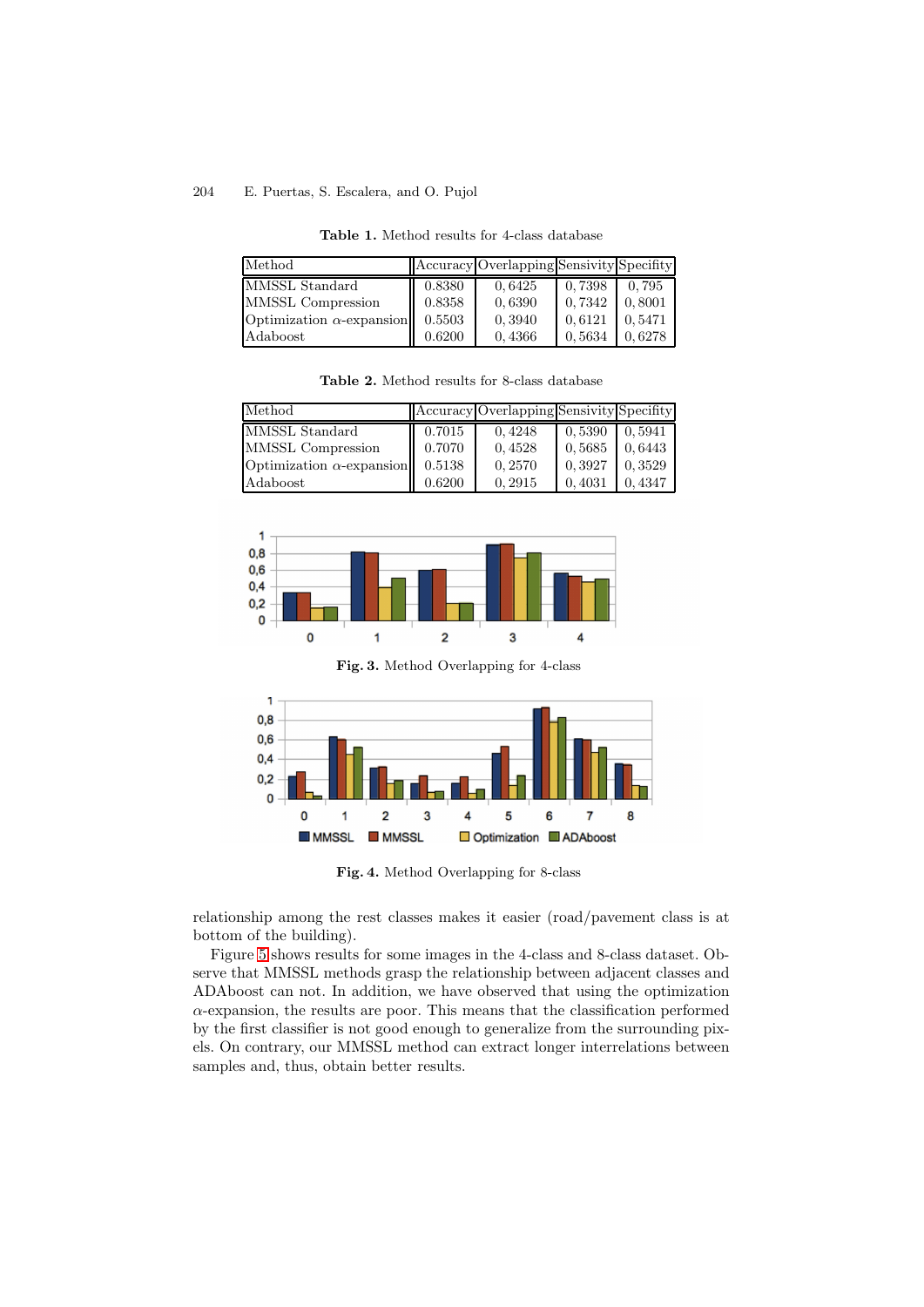|  |  |  | <b>Table 1.</b> Method results for 4-class database |
|--|--|--|-----------------------------------------------------|
|  |  |  |                                                     |

| Method                           |        | Accuracy Overlapping Sensivity Specifity |        |        |
|----------------------------------|--------|------------------------------------------|--------|--------|
| MMSSL Standard                   | 0.8380 | 0.6425                                   | 0.7398 | 0.795  |
| MMSSL Compression                | 0.8358 | 0.6390                                   | 0.7342 | 0,8001 |
| Optimization $\alpha$ -expansion | 0.5503 | 0,3940                                   | 0.6121 | 0.5471 |
| Adaboost                         | 0.6200 | 0,4366                                   | 0.5634 | 0.6278 |

**Table 2.** Method results for 8-class database

| Method                           |        | Accuracy Overlapping Sensivity Specifity |        |        |
|----------------------------------|--------|------------------------------------------|--------|--------|
| MMSSL Standard                   | 0.7015 | 0.4248                                   | 0.5390 | 0.5941 |
| MMSSL Compression                | 0.7070 | 0,4528                                   | 0.5685 | 0.6443 |
| Optimization $\alpha$ -expansion | 0.5138 | 0,2570                                   | 0.3927 | 0,3529 |
| Adaboost                         | 0.6200 | 0.2915                                   | 0.4031 | 0.4347 |



<span id="page-7-0"></span>**Fig. 3.** Method Overlapping for 4-class



<span id="page-7-1"></span>**Fig. 4.** Method Overlapping for 8-class

relationship among the rest classes makes it easier (road/pavement class is at bottom of the building).

Figure [5](#page-8-0) shows results for some images in the 4-class and 8-class dataset. Observe that MMSSL methods grasp the relationship between adjacent classes and ADAboost can not. In addition, we have observed that using the optimization α-expansion, the results are poor. This means that the classification performed by the first classifier is not good enough to generalize from the surrounding pixels. On contrary, our MMSSL method can extract longer interrelations between samples and, thus, obtain better results.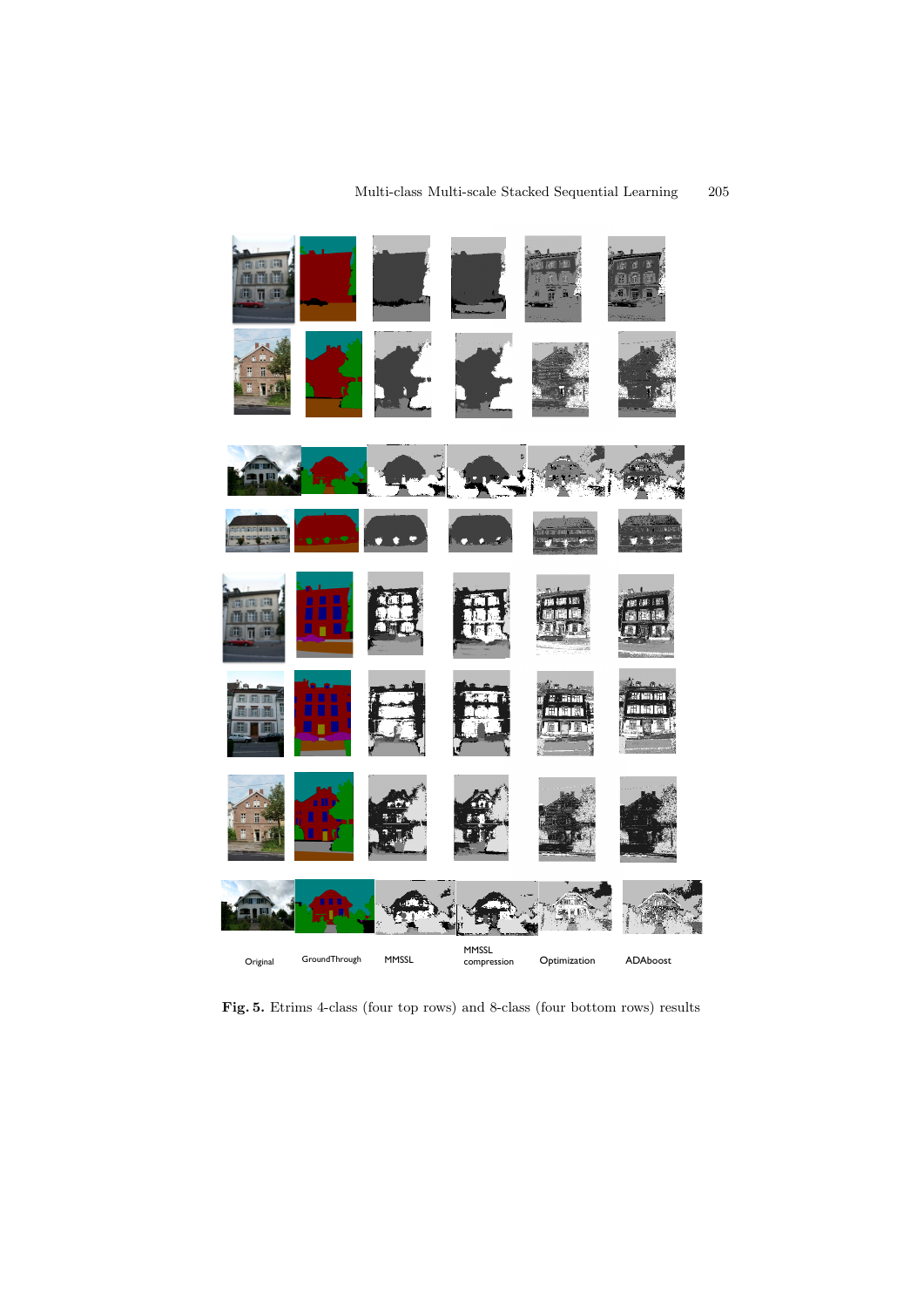<span id="page-8-0"></span>

**Fig. 5.** Etrims 4-class (four top rows) and 8-class (four bottom rows) results